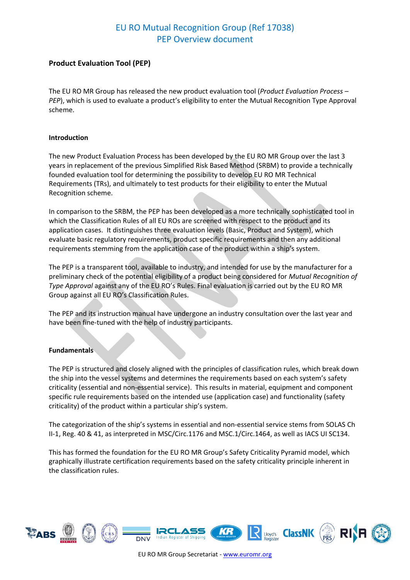#### **Product Evaluation Tool (PEP)**

The EU RO MR Group has released the new product evaluation tool (*Product Evaluation Process – PEP*), which is used to evaluate a product's eligibility to enter the Mutual Recognition Type Approval scheme.

#### **Introduction**

The new Product Evaluation Process has been developed by the EU RO MR Group over the last 3 years in replacement of the previous Simplified Risk Based Method (SRBM) to provide a technically founded evaluation tool for determining the possibility to develop EU RO MR Technical Requirements (TRs), and ultimately to test products for their eligibility to enter the Mutual Recognition scheme.

In comparison to the SRBM, the PEP has been developed as a more technically sophisticated tool in which the Classification Rules of all EU ROs are screened with respect to the product and its application cases. It distinguishes three evaluation levels (Basic, Product and System), which evaluate basic regulatory requirements, product specific requirements and then any additional requirements stemming from the application case of the product within a ship's system.

The PEP is a transparent tool, available to industry, and intended for use by the manufacturer for a preliminary check of the potential eligibility of a product being considered for *Mutual Recognition of Type Approval* against any of the EU RO's Rules. Final evaluation is carried out by the EU RO MR Group against all EU RO's Classification Rules.

The PEP and its instruction manual have undergone an industry consultation over the last year and have been fine-tuned with the help of industry participants.

#### **Fundamentals**

The PEP is structured and closely aligned with the principles of classification rules, which break down the ship into the vessel systems and determines the requirements based on each system's safety criticality (essential and non-essential service). This results in material, equipment and component specific rule requirements based on the intended use (application case) and functionality (safety criticality) of the product within a particular ship's system.

The categorization of the ship's systems in essential and non-essential service stems from SOLAS Ch II-1, Reg. 40 & 41, as interpreted in MSC/Circ.1176 and MSC.1/Circ.1464, as well as IACS UI SC134.

This has formed the foundation for the EU RO MR Group's Safety Criticality Pyramid model, which graphically illustrate certification requirements based on the safety criticality principle inherent in the classification rules.

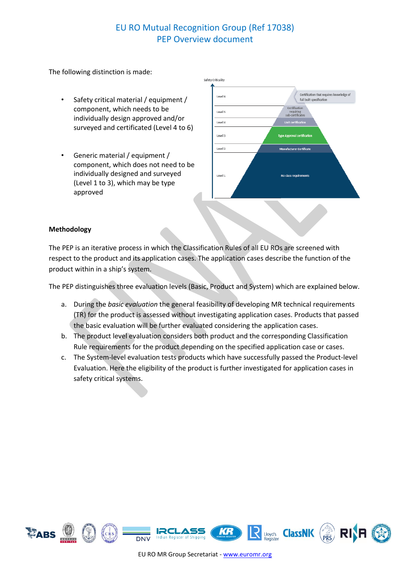The following distinction is made:

- Safety critical material / equipment / component, which needs to be individually design approved and/or surveyed and certificated (Level 4 to 6)
- Generic material / equipment / component, which does not need to be individually designed and surveyed (Level 1 to 3), which may be type approved



#### **Methodology**

The PEP is an iterative process in which the Classification Rules of all EU ROs are screened with respect to the product and its application cases. The application cases describe the function of the product within in a ship's system.

The PEP distinguishes three evaluation levels (Basic, Product and System) which are explained below.

- a. During the *basic evaluation* the general feasibility of developing MR technical requirements (TR) for the product is assessed without investigating application cases. Products that passed the basic evaluation will be further evaluated considering the application cases.
- b. The product level evaluation considers both product and the corresponding Classification Rule requirements for the product depending on the specified application case or cases.
- c. The System-level evaluation tests products which have successfully passed the Product-level Evaluation. Here the eligibility of the product is further investigated for application cases in safety critical systems.

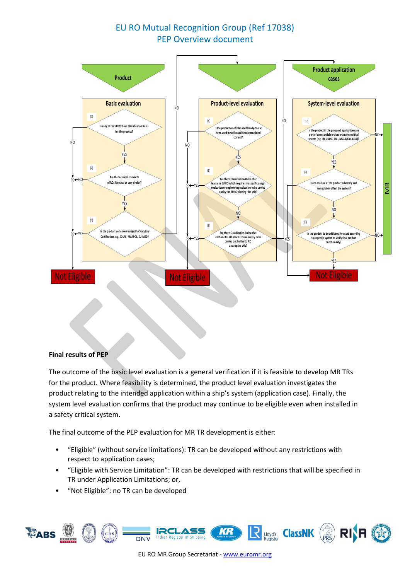

#### **Final results of PEP**

The outcome of the basic level evaluation is a general verification if it is feasible to develop MR TRs for the product. Where feasibility is determined, the product level evaluation investigates the product relating to the intended application within a ship's system (application case). Finally, the system level evaluation confirms that the product may continue to be eligible even when installed in a safety critical system.

The final outcome of the PEP evaluation for MR TR development is either:

- "Eligible" (without service limitations): TR can be developed without any restrictions with respect to application cases;
- "Eligible with Service Limitation": TR can be developed with restrictions that will be specified in TR under Application Limitations; or,
- "Not Eligible": no TR can be developed

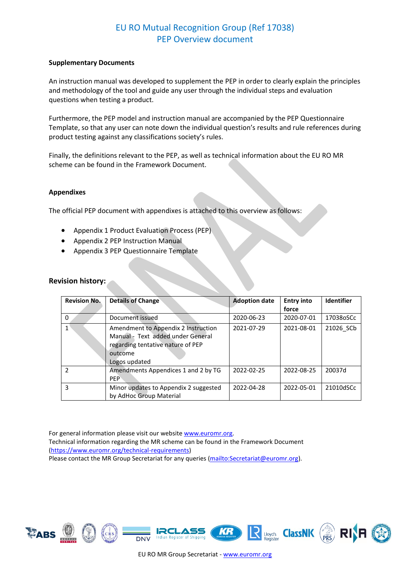#### **Supplementary Documents**

An instruction manual was developed to supplement the PEP in order to clearly explain the principles and methodology of the tool and guide any user through the individual steps and evaluation questions when testing a product.

Furthermore, the PEP model and instruction manual are accompanied by the PEP Questionnaire Template, so that any user can note down the individual question's results and rule references during product testing against any classifications society's rules.

Finally, the definitions relevant to the PEP, as well as technical information about the EU RO MR scheme can be found in the Framework Document.

#### **Appendixes**

The official PEP document with appendixes is attached to this overview as follows:

- Appendix 1 Product Evaluation Process (PEP)
- Appendix 2 PEP Instruction Manual
- Appendix 3 PEP Questionnaire Template

#### **Revision history:**

| <b>Revision No.</b> | <b>Details of Change</b>                                                                                                                  | <b>Adoption date</b> | <b>Entry into</b> | <b>Identifier</b> |
|---------------------|-------------------------------------------------------------------------------------------------------------------------------------------|----------------------|-------------------|-------------------|
|                     |                                                                                                                                           |                      | force             |                   |
| $\Omega$            | Document issued                                                                                                                           | 2020-06-23           | 2020-07-01        | 17038oSCc         |
|                     | Amendment to Appendix 2 Instruction<br>Manual - Text added under General<br>regarding tentative nature of PEP<br>outcome<br>Logos updated | 2021-07-29           | 2021-08-01        | 21026 SCb         |
| $\mathcal{P}$       | Amendments Appendices 1 and 2 by TG<br><b>PFP</b>                                                                                         | 2022-02-25           | 2022-08-25        | 20037d            |
| 3                   | Minor updates to Appendix 2 suggested<br>by AdHoc Group Material                                                                          | 2022-04-28           | 2022-05-01        | 21010dSCc         |

For general information please visit our websit[e www.euromr.org.](http://www.euromr.org/) Technical information regarding the MR scheme can be found in the Framework Document [\(https://www.euromr.org/technical-requirements\)](https://www.euromr.org/technical-requirements) Please contact the MR Group Secretariat for any queries (mailto: Secretariat@euromr.org).







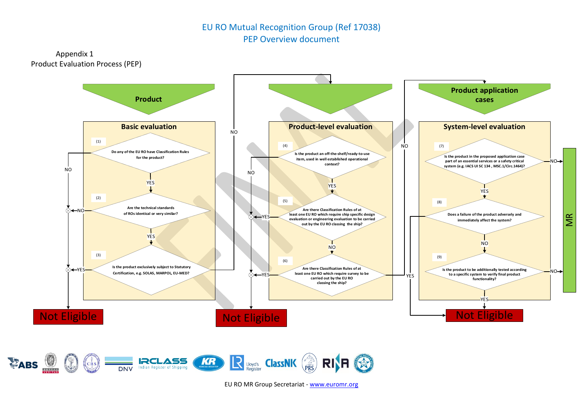Appendix 1 Product Evaluation Process (PEP)



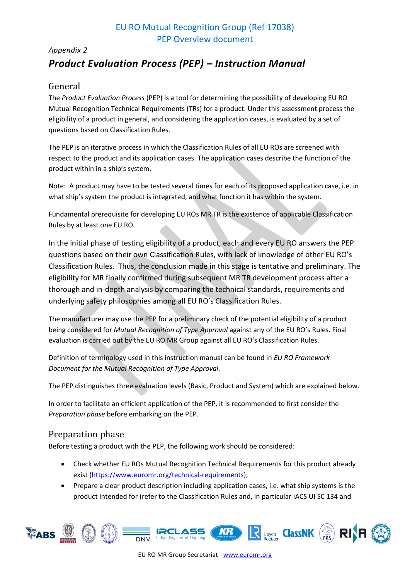# *Appendix 2 Product Evaluation Process (PEP) – Instruction Manual*

## General

The *Product Evaluation Process* (PEP) is a tool for determining the possibility of developing EU RO Mutual Recognition Technical Requirements (TRs) for a product. Under this assessment process the eligibility of a product in general, and considering the application cases, is evaluated by a set of questions based on Classification Rules.

The PEP is an iterative process in which the Classification Rules of all EU ROs are screened with respect to the product and its application cases. The application cases describe the function of the product within in a ship's system.

Note: A product may have to be tested several times for each of its proposed application case, i.e. in what ship's system the product is integrated, and what function it has within the system.

Fundamental prerequisite for developing EU ROs MR TR is the existence of applicable Classification Rules by at least one EU RO.

In the initial phase of testing eligibility of a product, each and every EU RO answers the PEP questions based on their own Classification Rules, with lack of knowledge of other EU RO's Classification Rules. Thus, the conclusion made in this stage is tentative and preliminary. The eligibility for MR finally confirmed during subsequent MR TR development process after a thorough and in-depth analysis by comparing the technical standards, requirements and underlying safety philosophies among all EU RO's Classification Rules.

The manufacturer may use the PEP for a preliminary check of the potential eligibility of a product being considered for *Mutual Recognition of Type Approval* against any of the EU RO's Rules. Final evaluation is carried out by the EU RO MR Group against all EU RO's Classification Rules.

Definition of terminology used in this instruction manual can be found in *EU RO Framework Document for the Mutual Recognition of Type Approval*.

The PEP distinguishes three evaluation levels (Basic, Product and System) which are explained below.

In order to facilitate an efficient application of the PEP, it is recommended to first consider the *Preparation phase* before embarking on the PEP.

## Preparation phase

Before testing a product with the PEP, the following work should be considered:

- Check whether EU ROs Mutual Recognition Technical Requirements for this product already exist [\(https://www.euromr.org/technical-requirements\)](https://www.euromr.org/technical-requirements);
- Prepare a clear product description including application cases, i.e. what ship systems is the product intended for (refer to the Classification Rules and, in particular IACS UI SC 134 and

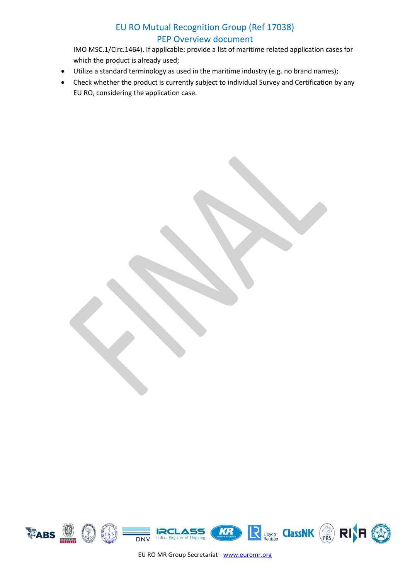IMO MSC.1/Circ.1464). If applicable: provide a list of maritime related application cases for which the product is already used;

- Utilize a standard terminology as used in the maritime industry (e.g. no brand names);
- Check whether the product is currently subject to individual Survey and Certification by any EU RO, considering the application case.

R Lloyd's ClassNK (PRS) **RI**<sub>R</sub> **EABS** KR  $\left( \begin{smallmatrix} 1\\ 1\\ \end{smallmatrix} \right)$  $CRS$  $\overline{DNV}$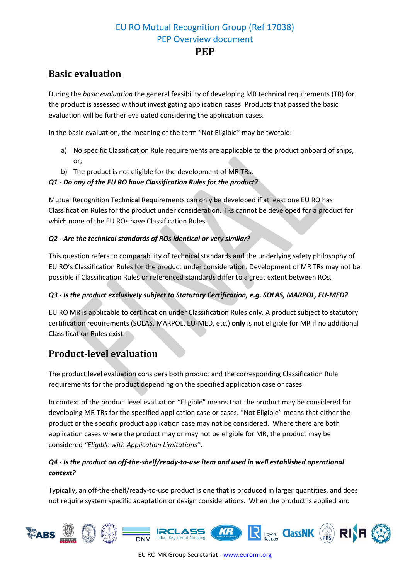## **Basic evaluation**

During the *basic evaluation* the general feasibility of developing MR technical requirements (TR) for the product is assessed without investigating application cases. Products that passed the basic evaluation will be further evaluated considering the application cases.

In the basic evaluation, the meaning of the term "Not Eligible" may be twofold:

- a) No specific Classification Rule requirements are applicable to the product onboard of ships, or;
- b) The product is not eligible for the development of MR TRs.

## *Q1 - Do any of the EU RO have Classification Rules for the product?*

Mutual Recognition Technical Requirements can only be developed if at least one EU RO has Classification Rules for the product under consideration. TRs cannot be developed for a product for which none of the EU ROs have Classification Rules.

#### *Q2 - Are the technical standards of ROs identical or very similar?*

This question refers to comparability of technical standards and the underlying safety philosophy of EU RO's Classification Rules for the product under consideration. Development of MR TRs may not be possible if Classification Rules or referenced standards differ to a great extent between ROs.

## *Q3 - Is the product exclusively subject to Statutory Certification, e.g. SOLAS, MARPOL, EU-MED?*

EU RO MR is applicable to certification under Classification Rules only. A product subject to statutory certification requirements (SOLAS, MARPOL, EU-MED, etc.) **only** is not eligible for MR if no additional Classification Rules exist.

## **Product-level evaluation**

The product level evaluation considers both product and the corresponding Classification Rule requirements for the product depending on the specified application case or cases.

In context of the product level evaluation "Eligible" means that the product may be considered for developing MR TRs for the specified application case or cases. "Not Eligible" means that either the product or the specific product application case may not be considered. Where there are both application cases where the product may or may not be eligible for MR, the product may be considered *"Eligible with Application Limitations"*.

## *Q4 - Is the product an off-the-shelf/ready-to-use item and used in well established operational context?*

Typically, an off-the-shelf/ready-to-use product is one that is produced in larger quantities, and does not require system specific adaptation or design considerations. When the product is applied and

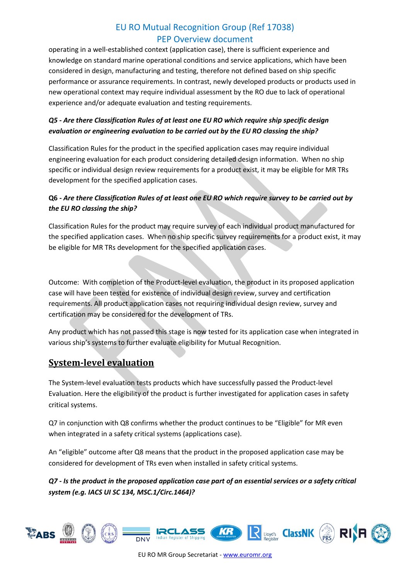operating in a well-established context (application case), there is sufficient experience and knowledge on standard marine operational conditions and service applications, which have been considered in design, manufacturing and testing, therefore not defined based on ship specific performance or assurance requirements. In contrast, newly developed products or products used in new operational context may require individual assessment by the RO due to lack of operational experience and/or adequate evaluation and testing requirements.

## *Q5 - Are there Classification Rules of at least one EU RO which require ship specific design evaluation or engineering evaluation to be carried out by the EU RO classing the ship?*

Classification Rules for the product in the specified application cases may require individual engineering evaluation for each product considering detailed design information. When no ship specific or individual design review requirements for a product exist, it may be eligible for MR TRs development for the specified application cases.

## **Q6 -** *Are there Classification Rules of at least one EU RO which require survey to be carried out by the EU RO classing the ship?*

Classification Rules for the product may require survey of each individual product manufactured for the specified application cases. When no ship specific survey requirements for a product exist, it may be eligible for MR TRs development for the specified application cases.

Outcome: With completion of the Product-level evaluation, the product in its proposed application case will have been tested for existence of individual design review, survey and certification requirements. All product application cases not requiring individual design review, survey and certification may be considered for the development of TRs.

Any product which has not passed this stage is now tested for its application case when integrated in various ship's systems to further evaluate eligibility for Mutual Recognition.

# **System-level evaluation**

The System-level evaluation tests products which have successfully passed the Product-level Evaluation. Here the eligibility of the product is further investigated for application cases in safety critical systems.

Q7 in conjunction with Q8 confirms whether the product continues to be "Eligible" for MR even when integrated in a safety critical systems (applications case).

An "eligible" outcome after Q8 means that the product in the proposed application case may be considered for development of TRs even when installed in safety critical systems.

*Q7 - Is the product in the proposed application case part of an essential services or a safety critical system (e.g. IACS UI SC 134, MSC.1/Circ.1464)?*

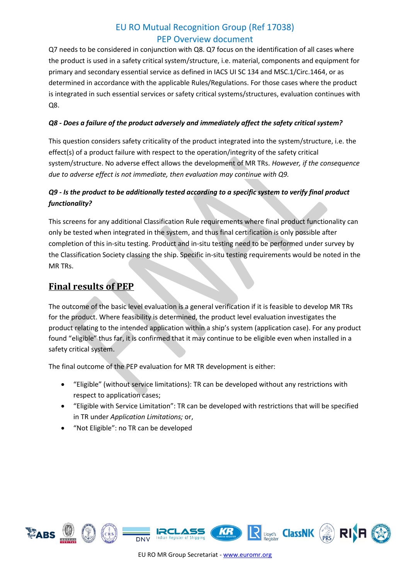Q7 needs to be considered in conjunction with Q8. Q7 focus on the identification of all cases where the product is used in a safety critical system/structure, i.e. material, components and equipment for primary and secondary essential service as defined in IACS UI SC 134 and MSC.1/Circ.1464, or as determined in accordance with the applicable Rules/Regulations. For those cases where the product is integrated in such essential services or safety critical systems/structures, evaluation continues with Q8.

#### *Q8 - Does a failure of the product adversely and immediately affect the safety critical system?*

This question considers safety criticality of the product integrated into the system/structure, i.e. the effect(s) of a product failure with respect to the operation/integrity of the safety critical system/structure. No adverse effect allows the development of MR TRs. *However, if the consequence due to adverse effect is not immediate, then evaluation may continue with Q9.*

## *Q9 - Is the product to be additionally tested according to a specific system to verify final product functionality?*

This screens for any additional Classification Rule requirements where final product functionality can only be tested when integrated in the system, and thus final certification is only possible after completion of this in-situ testing. Product and in-situ testing need to be performed under survey by the Classification Society classing the ship. Specific in-situ testing requirements would be noted in the MR TRs.

# **Final results of PEP**

The outcome of the basic level evaluation is a general verification if it is feasible to develop MR TRs for the product. Where feasibility is determined, the product level evaluation investigates the product relating to the intended application within a ship's system (application case). For any product found "eligible" thus far, it is confirmed that it may continue to be eligible even when installed in a safety critical system.

The final outcome of the PEP evaluation for MR TR development is either:

- "Eligible" (without service limitations): TR can be developed without any restrictions with respect to application cases;
- "Eligible with Service Limitation": TR can be developed with restrictions that will be specified in TR under *Application Limitations;* or,
- "Not Eligible": no TR can be developed

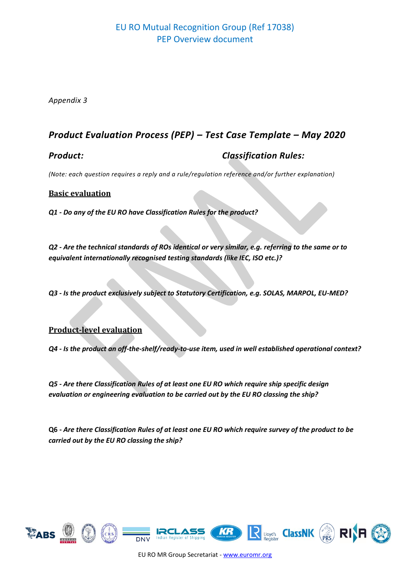*Appendix 3*

# *Product Evaluation Process (PEP) – Test Case Template – May 2020*

## *Product: Classification Rules:*

*(Note: each question requires a reply and a rule/regulation reference and/or further explanation)*

#### **Basic evaluation**

*Q1 - Do any of the EU RO have Classification Rules for the product?*

*Q2 - Are the technical standards of ROs identical or very similar, e.g. referring to the same or to equivalent internationally recognised testing standards (like IEC, ISO etc.)?*

*Q3 - Is the product exclusively subject to Statutory Certification, e.g. SOLAS, MARPOL, EU-MED?*

## **Product-level evaluation**

*Q4 - Is the product an off-the-shelf/ready-to-use item, used in well established operational context?*

*Q5 - Are there Classification Rules of at least one EU RO which require ship specific design evaluation or engineering evaluation to be carried out by the EU RO classing the ship?*

**Q6 -** *Are there Classification Rules of at least one EU RO which require survey of the product to be carried out by the EU RO classing the ship?*